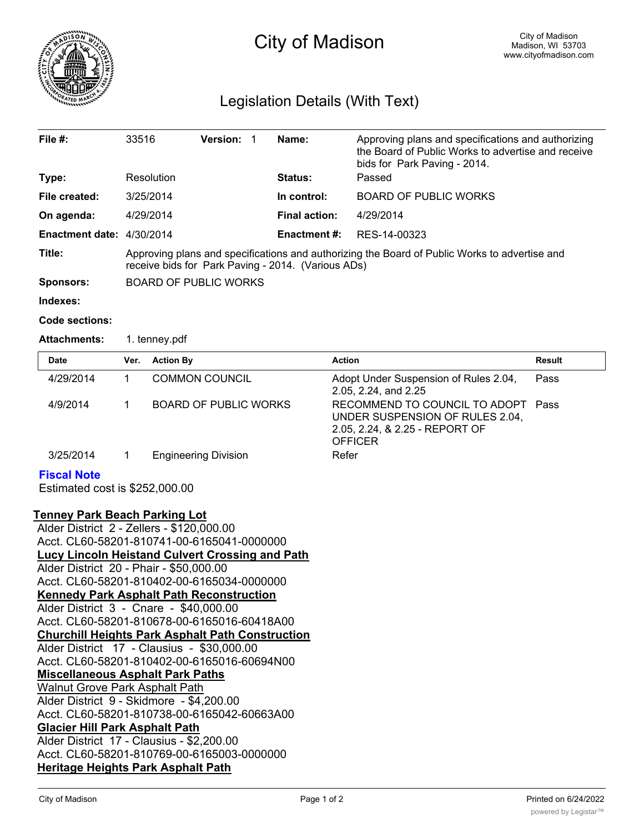

# City of Madison

# Legislation Details (With Text)

| File $#$ :                  | 33516                                                                                                                                               | <b>Version: 1</b> |                      | Name:                        | Approving plans and specifications and authorizing<br>the Board of Public Works to advertise and receive<br>bids for Park Paving - 2014. |  |
|-----------------------------|-----------------------------------------------------------------------------------------------------------------------------------------------------|-------------------|----------------------|------------------------------|------------------------------------------------------------------------------------------------------------------------------------------|--|
| Type:                       | Resolution                                                                                                                                          |                   |                      | <b>Status:</b>               | Passed                                                                                                                                   |  |
| File created:               | 3/25/2014                                                                                                                                           |                   | In control:          | <b>BOARD OF PUBLIC WORKS</b> |                                                                                                                                          |  |
| On agenda:                  | 4/29/2014                                                                                                                                           |                   | <b>Final action:</b> | 4/29/2014                    |                                                                                                                                          |  |
| Enactment date: $4/30/2014$ |                                                                                                                                                     |                   |                      | <b>Enactment #:</b>          | RES-14-00323                                                                                                                             |  |
| Title:                      | Approving plans and specifications and authorizing the Board of Public Works to advertise and<br>receive bids for Park Paving - 2014. (Various ADs) |                   |                      |                              |                                                                                                                                          |  |
| <b>Sponsors:</b>            | <b>BOARD OF PUBLIC WORKS</b>                                                                                                                        |                   |                      |                              |                                                                                                                                          |  |
| Indexes:                    |                                                                                                                                                     |                   |                      |                              |                                                                                                                                          |  |

#### **Code sections:**

Attachments: 1. tenney.pdf

| <b>Date</b>                                          | Ver. | <b>Action By</b>            | <b>Action</b>                                                                                                        | Result |
|------------------------------------------------------|------|-----------------------------|----------------------------------------------------------------------------------------------------------------------|--------|
| 4/29/2014                                            |      | <b>COMMON COUNCIL</b>       | Adopt Under Suspension of Rules 2.04,<br>2.05, 2.24, and 2.25                                                        | Pass   |
| 4/9/2014                                             |      | BOARD OF PUBLIC WORKS       | RECOMMEND TO COUNCIL TO ADOPT<br>UNDER SUSPENSION OF RULES 2.04,<br>2.05, 2.24, & 2.25 - REPORT OF<br><b>OFFICER</b> | Pass   |
| 3/25/2014                                            |      | <b>Engineering Division</b> | Refer                                                                                                                |        |
| <b>Fiscal Note</b><br>Estimated cost is \$252,000.00 |      |                             |                                                                                                                      |        |

## **Tenney Park Beach Parking Lot**

| Alder District 2 - Zellers - \$120,000.00               |
|---------------------------------------------------------|
| Acct. CL60-58201-810741-00-6165041-0000000              |
| Lucy Lincoln Heistand Culvert Crossing and Path         |
| Alder District 20 - Phair - \$50,000.00                 |
| Acct. CL60-58201-810402-00-6165034-0000000              |
| <b>Kennedy Park Asphalt Path Reconstruction</b>         |
| Alder District 3 - Cnare - \$40,000.00                  |
| Acct. CL60-58201-810678-00-6165016-60418A00             |
| <b>Churchill Heights Park Asphalt Path Construction</b> |
| Alder District 17 - Clausius - \$30,000.00              |
| Acct. CL60-58201-810402-00-6165016-60694N00             |
| <b>Miscellaneous Asphalt Park Paths</b>                 |
| <b>Walnut Grove Park Asphalt Path</b>                   |
| Alder District 9 - Skidmore - \$4,200.00                |
| Acct. CL60-58201-810738-00-6165042-60663A00             |
| <b>Glacier Hill Park Asphalt Path</b>                   |
| Alder District 17 - Clausius - \$2,200.00               |
| Acct. CL60-58201-810769-00-6165003-0000000              |
| <b>Heritage Heights Park Asphalt Path</b>               |